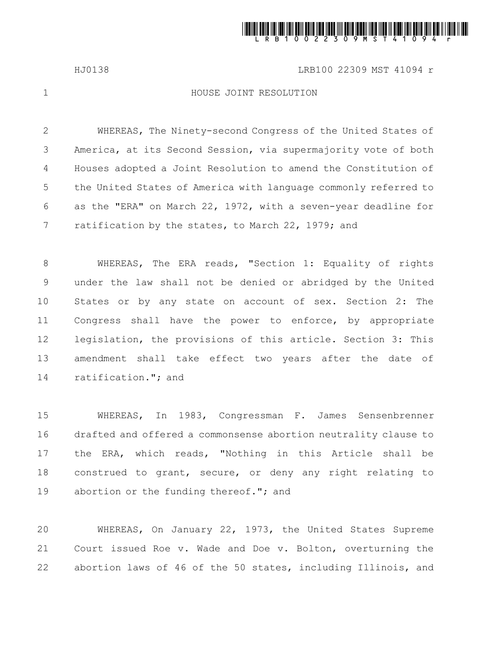

HJ0138 LRB100 22309 MST 41094 r

1

## HOUSE JOINT RESOLUTION

WHEREAS, The Ninety-second Congress of the United States of America, at its Second Session, via supermajority vote of both Houses adopted a Joint Resolution to amend the Constitution of the United States of America with language commonly referred to as the "ERA" on March 22, 1972, with a seven-year deadline for ratification by the states, to March 22, 1979; and 2 3 4 5 6 7

WHEREAS, The ERA reads, "Section 1: Equality of rights under the law shall not be denied or abridged by the United States or by any state on account of sex. Section 2: The Congress shall have the power to enforce, by appropriate legislation, the provisions of this article. Section 3: This amendment shall take effect two years after the date of ratification."; and 8 9 10 11 12 13 14

WHEREAS, In 1983, Congressman F. James Sensenbrenner drafted and offered a commonsense abortion neutrality clause to the ERA, which reads, "Nothing in this Article shall be construed to grant, secure, or deny any right relating to abortion or the funding thereof."; and 15 16 17 18 19

WHEREAS, On January 22, 1973, the United States Supreme Court issued Roe v. Wade and Doe v. Bolton, overturning the abortion laws of 46 of the 50 states, including Illinois, and 20 21 22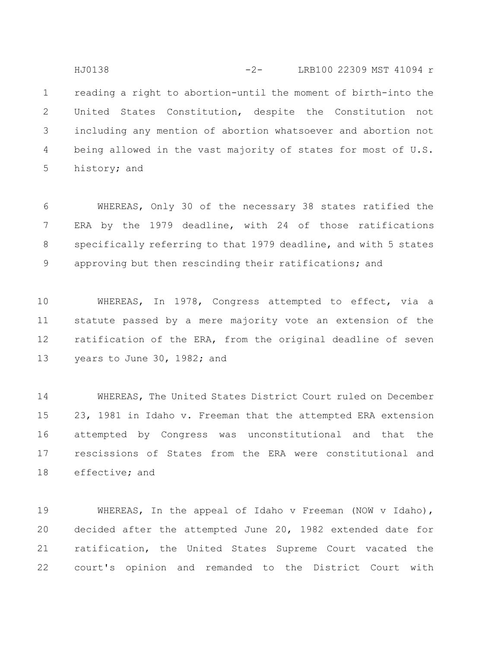reading a right to abortion-until the moment of birth-into the United States Constitution, despite the Constitution not including any mention of abortion whatsoever and abortion not being allowed in the vast majority of states for most of U.S. history; and 1 2 3 4 5 HJ0138 -2- LRB100 22309 MST 41094 r

WHEREAS, Only 30 of the necessary 38 states ratified the ERA by the 1979 deadline, with 24 of those ratifications specifically referring to that 1979 deadline, and with 5 states approving but then rescinding their ratifications; and 6 7 8 9

WHEREAS, In 1978, Congress attempted to effect, via a statute passed by a mere majority vote an extension of the ratification of the ERA, from the original deadline of seven years to June 30, 1982; and 10 11 12 13

WHEREAS, The United States District Court ruled on December 23, 1981 in Idaho v. Freeman that the attempted ERA extension attempted by Congress was unconstitutional and that the rescissions of States from the ERA were constitutional and effective; and 14 15 16 17 18

WHEREAS, In the appeal of Idaho v Freeman (NOW v Idaho), decided after the attempted June 20, 1982 extended date for ratification, the United States Supreme Court vacated the court's opinion and remanded to the District Court with 19 20 21 22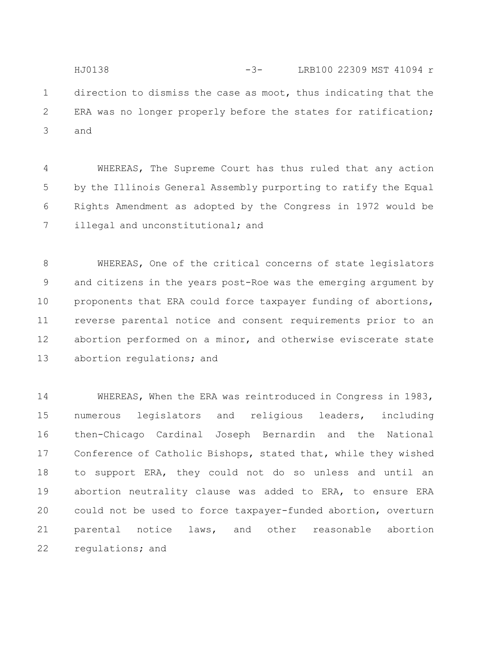direction to dismiss the case as moot, thus indicating that the ERA was no longer properly before the states for ratification; and 1 2 3 HJ0138 -3- LRB100 22309 MST 41094 r

WHEREAS, The Supreme Court has thus ruled that any action by the Illinois General Assembly purporting to ratify the Equal Rights Amendment as adopted by the Congress in 1972 would be illegal and unconstitutional; and 4 5 6 7

WHEREAS, One of the critical concerns of state legislators and citizens in the years post-Roe was the emerging argument by proponents that ERA could force taxpayer funding of abortions, reverse parental notice and consent requirements prior to an abortion performed on a minor, and otherwise eviscerate state abortion regulations; and 8 9 10 11 12 13

WHEREAS, When the ERA was reintroduced in Congress in 1983, numerous legislators and religious leaders, including then-Chicago Cardinal Joseph Bernardin and the National Conference of Catholic Bishops, stated that, while they wished to support ERA, they could not do so unless and until an abortion neutrality clause was added to ERA, to ensure ERA could not be used to force taxpayer-funded abortion, overturn parental notice laws, and other reasonable abortion regulations; and 14 15 16 17 18 19 20 21 22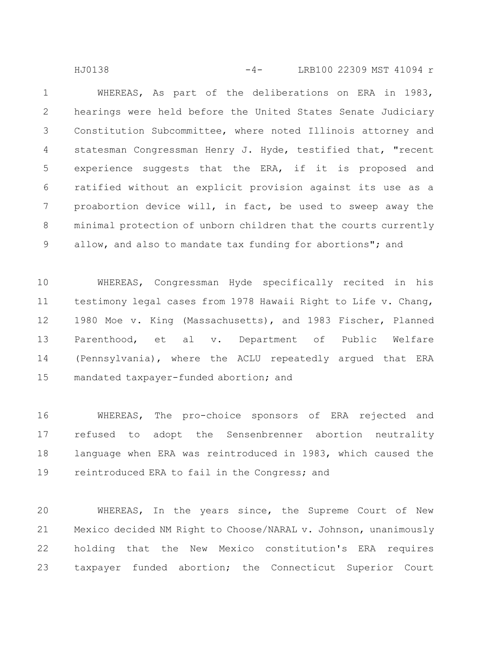WHEREAS, As part of the deliberations on ERA in 1983, hearings were held before the United States Senate Judiciary Constitution Subcommittee, where noted Illinois attorney and statesman Congressman Henry J. Hyde, testified that, "recent experience suggests that the ERA, if it is proposed and ratified without an explicit provision against its use as a proabortion device will, in fact, be used to sweep away the minimal protection of unborn children that the courts currently allow, and also to mandate tax funding for abortions"; and 1 2 3 4 5 6 7 8 9 HJ0138 -4- LRB100 22309 MST 41094 r

WHEREAS, Congressman Hyde specifically recited in his testimony legal cases from 1978 Hawaii Right to Life v. Chang, 1980 Moe v. King (Massachusetts), and 1983 Fischer, Planned Parenthood, et al v. Department of Public Welfare (Pennsylvania), where the ACLU repeatedly argued that ERA mandated taxpayer-funded abortion; and 10 11 12 13 14 15

WHEREAS, The pro-choice sponsors of ERA rejected and refused to adopt the Sensenbrenner abortion neutrality language when ERA was reintroduced in 1983, which caused the reintroduced ERA to fail in the Congress; and 16 17 18 19

WHEREAS, In the years since, the Supreme Court of New Mexico decided NM Right to Choose/NARAL v. Johnson, unanimously holding that the New Mexico constitution's ERA requires taxpayer funded abortion; the Connecticut Superior Court 20 21 22 23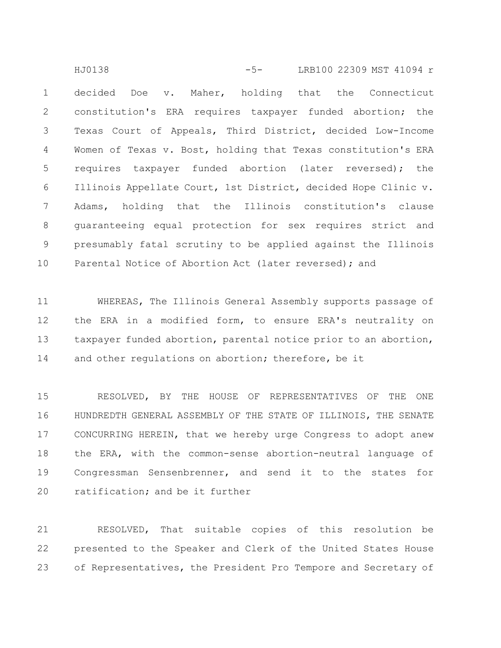decided Doe v. Maher, holding that the Connecticut constitution's ERA requires taxpayer funded abortion; the Texas Court of Appeals, Third District, decided Low-Income Women of Texas v. Bost, holding that Texas constitution's ERA requires taxpayer funded abortion (later reversed); the Illinois Appellate Court, 1st District, decided Hope Clinic v. Adams, holding that the Illinois constitution's clause guaranteeing equal protection for sex requires strict and presumably fatal scrutiny to be applied against the Illinois Parental Notice of Abortion Act (later reversed); and 1 2 3 4 5 6 7 8 9 10 HJ0138 -5- LRB100 22309 MST 41094 r

WHEREAS, The Illinois General Assembly supports passage of the ERA in a modified form, to ensure ERA's neutrality on taxpayer funded abortion, parental notice prior to an abortion, and other regulations on abortion; therefore, be it 11 12 13 14

RESOLVED, BY THE HOUSE OF REPRESENTATIVES OF THE ONE HUNDREDTH GENERAL ASSEMBLY OF THE STATE OF ILLINOIS, THE SENATE CONCURRING HEREIN, that we hereby urge Congress to adopt anew the ERA, with the common-sense abortion-neutral language of Congressman Sensenbrenner, and send it to the states for ratification; and be it further 15 16 17 18 19 20

RESOLVED, That suitable copies of this resolution be presented to the Speaker and Clerk of the United States House of Representatives, the President Pro Tempore and Secretary of 21 22 23